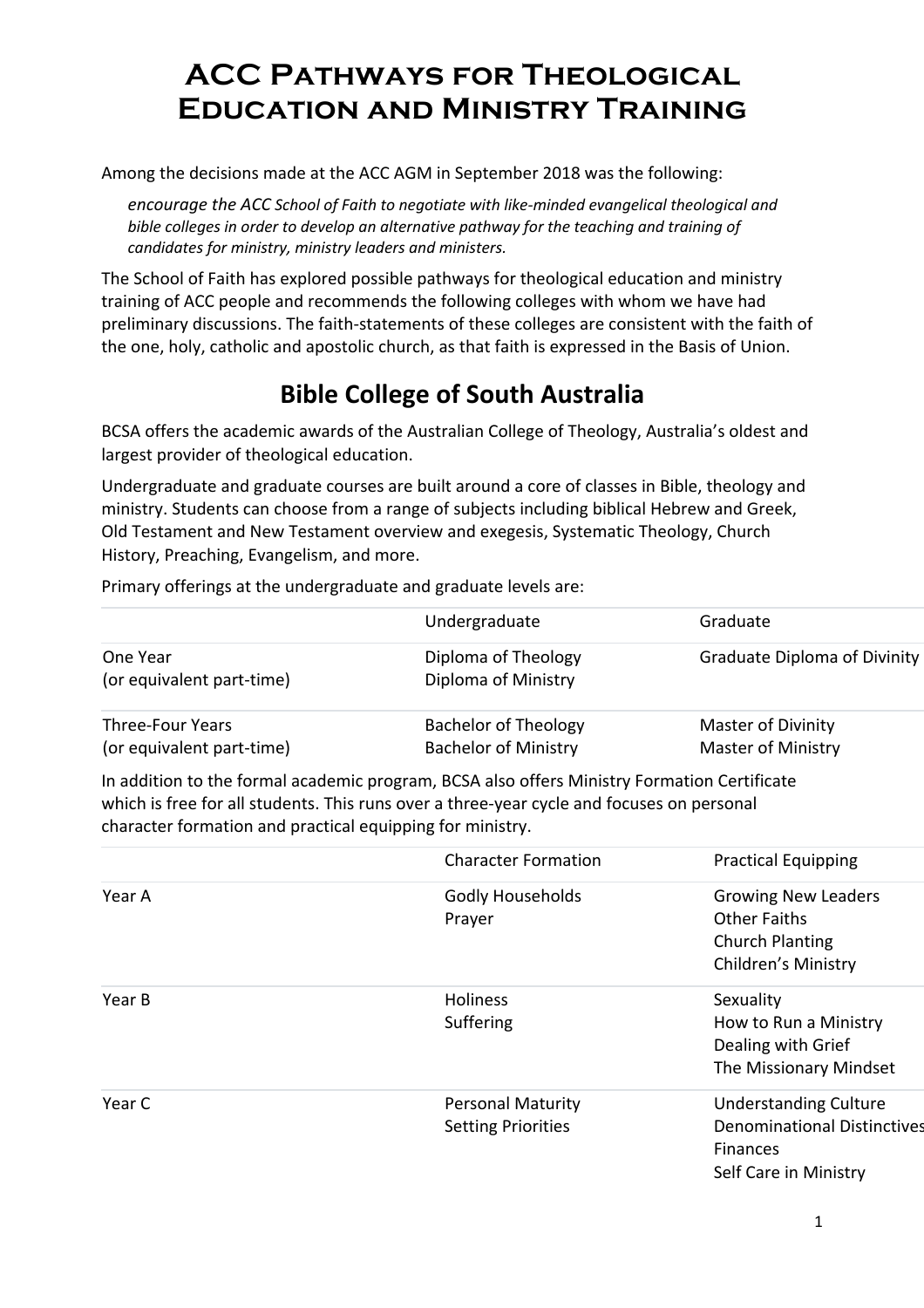# **ACC Pathways for Theological Education and Ministry Training**

Among the decisions made at the ACC AGM in September 2018 was the following:

*encourage the ACC School of Faith to negotiate with like-minded evangelical theological and bible colleges in order to develop an alternative pathway for the teaching and training of candidates for ministry, ministry leaders and ministers.*

The School of Faith has explored possible pathways for theological education and ministry training of ACC people and recommends the following colleges with whom we have had preliminary discussions. The faith-statements of these colleges are consistent with the faith of the one, holy, catholic and apostolic church, as that faith is expressed in the Basis of Union.

## **Bible College of South Australia**

BCSA offers the academic awards of the Australian College of Theology, Australia's oldest and largest provider of theological education.

Undergraduate and graduate courses are built around a core of classes in Bible, theology and ministry. Students can choose from a range of subjects including biblical Hebrew and Greek, Old Testament and New Testament overview and exegesis, Systematic Theology, Church History, Preaching, Evangelism, and more.

Primary offerings at the undergraduate and graduate levels are:

|                                               | Undergraduate                                              | Graduate                                        |
|-----------------------------------------------|------------------------------------------------------------|-------------------------------------------------|
| One Year<br>(or equivalent part-time)         | Diploma of Theology<br>Diploma of Ministry                 | Graduate Diploma of Divinity                    |
| Three-Four Years<br>(or equivalent part-time) | <b>Bachelor of Theology</b><br><b>Bachelor of Ministry</b> | Master of Divinity<br><b>Master of Ministry</b> |

In addition to the formal academic program, BCSA also offers Ministry Formation Certificate which is free for all students. This runs over a three-year cycle and focuses on personal character formation and practical equipping for ministry.

|        | <b>Character Formation</b>                            | <b>Practical Equipping</b>                                                                                     |
|--------|-------------------------------------------------------|----------------------------------------------------------------------------------------------------------------|
| Year A | <b>Godly Households</b><br>Prayer                     | <b>Growing New Leaders</b><br><b>Other Faiths</b><br><b>Church Planting</b><br>Children's Ministry             |
| Year B | <b>Holiness</b><br>Suffering                          | Sexuality<br>How to Run a Ministry<br>Dealing with Grief<br>The Missionary Mindset                             |
| Year C | <b>Personal Maturity</b><br><b>Setting Priorities</b> | <b>Understanding Culture</b><br><b>Denominational Distinctives</b><br><b>Finances</b><br>Self Care in Ministry |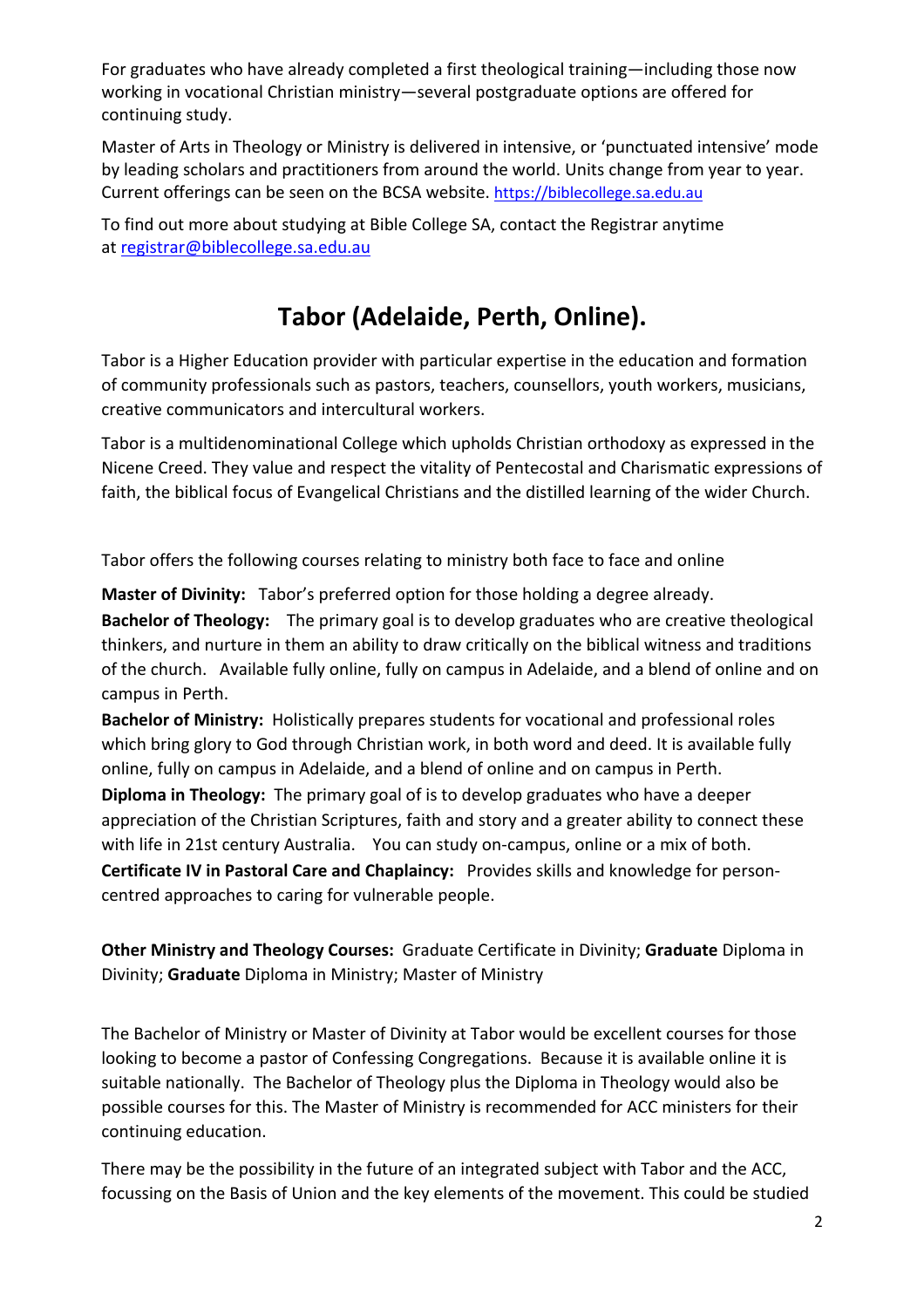For graduates who have already completed a first theological training—including those now working in vocational Christian ministry—several postgraduate options are offered for continuing study.

Master of Arts in Theology or Ministry is delivered in intensive, or 'punctuated intensive' mode by leading scholars and practitioners from around the world. Units change from year to year. Current offerings can be seen on the BCSA website. https://biblecollege.sa.edu.au

To find out more about studying at Bible College SA, contact the Registrar anytime at registrar@biblecollege.sa.edu.au

## **Tabor (Adelaide, Perth, Online).**

Tabor is a Higher Education provider with particular expertise in the education and formation of community professionals such as pastors, teachers, counsellors, youth workers, musicians, creative communicators and intercultural workers.

Tabor is a multidenominational College which upholds Christian orthodoxy as expressed in the Nicene Creed. They value and respect the vitality of Pentecostal and Charismatic expressions of faith, the biblical focus of Evangelical Christians and the distilled learning of the wider Church.

Tabor offers the following courses relating to ministry both face to face and online

**Master of Divinity:** Tabor's preferred option for those holding a degree already.

**Bachelor of Theology:** The primary goal is to develop graduates who are creative theological thinkers, and nurture in them an ability to draw critically on the biblical witness and traditions of the church. Available fully online, fully on campus in Adelaide, and a blend of online and on campus in Perth.

**Bachelor of Ministry:** Holistically prepares students for vocational and professional roles which bring glory to God through Christian work, in both word and deed. It is available fully online, fully on campus in Adelaide, and a blend of online and on campus in Perth.

**Diploma in Theology:** The primary goal of is to develop graduates who have a deeper appreciation of the Christian Scriptures, faith and story and a greater ability to connect these with life in 21st century Australia. You can study on-campus, online or a mix of both.

**Certificate IV in Pastoral Care and Chaplaincy:** Provides skills and knowledge for personcentred approaches to caring for vulnerable people.

**Other Ministry and Theology Courses:** Graduate Certificate in Divinity; **Graduate** Diploma in Divinity; **Graduate** Diploma in Ministry; Master of Ministry

The Bachelor of Ministry or Master of Divinity at Tabor would be excellent courses for those looking to become a pastor of Confessing Congregations. Because it is available online it is suitable nationally. The Bachelor of Theology plus the Diploma in Theology would also be possible courses for this. The Master of Ministry is recommended for ACC ministers for their continuing education.

There may be the possibility in the future of an integrated subject with Tabor and the ACC, focussing on the Basis of Union and the key elements of the movement. This could be studied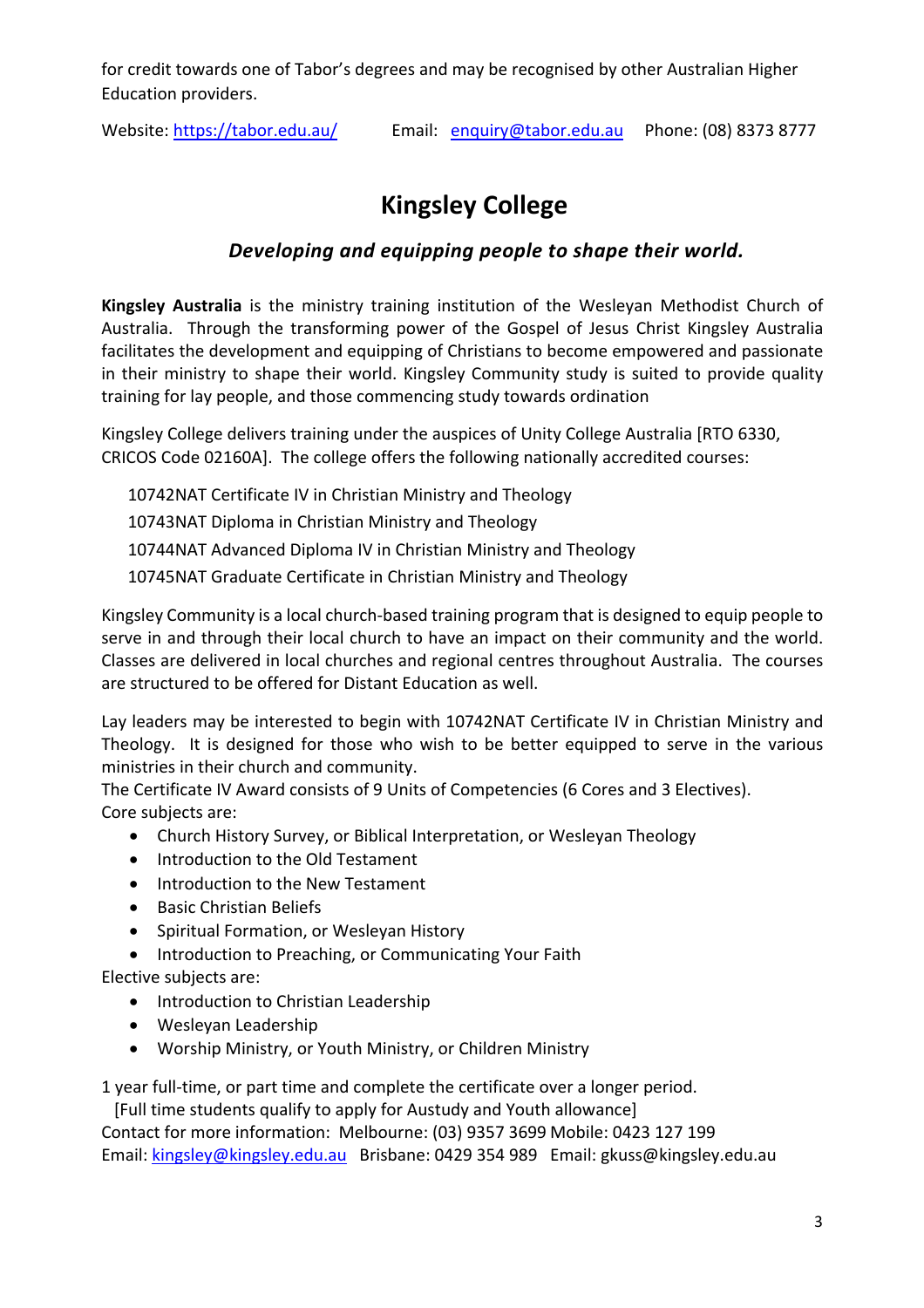for credit towards one of Tabor's degrees and may be recognised by other Australian Higher Education providers.

Website: https://tabor.edu.au/ Email: enquiry@tabor.edu.au Phone: (08) 8373 8777

## **Kingsley College**

### *Developing and equipping people to shape their world.*

**Kingsley Australia** is the ministry training institution of the Wesleyan Methodist Church of Australia. Through the transforming power of the Gospel of Jesus Christ Kingsley Australia facilitates the development and equipping of Christians to become empowered and passionate in their ministry to shape their world. Kingsley Community study is suited to provide quality training for lay people, and those commencing study towards ordination

Kingsley College delivers training under the auspices of Unity College Australia [RTO 6330, CRICOS Code 02160A]. The college offers the following nationally accredited courses:

10742NAT Certificate IV in Christian Ministry and Theology 10743NAT Diploma in Christian Ministry and Theology 10744NAT Advanced Diploma IV in Christian Ministry and Theology 10745NAT Graduate Certificate in Christian Ministry and Theology

Kingsley Community is a local church-based training program that is designed to equip people to serve in and through their local church to have an impact on their community and the world. Classes are delivered in local churches and regional centres throughout Australia. The courses are structured to be offered for Distant Education as well.

Lay leaders may be interested to begin with 10742NAT Certificate IV in Christian Ministry and Theology. It is designed for those who wish to be better equipped to serve in the various ministries in their church and community.

The Certificate IV Award consists of 9 Units of Competencies (6 Cores and 3 Electives). Core subjects are:

- Church History Survey, or Biblical Interpretation, or Wesleyan Theology
- Introduction to the Old Testament
- Introduction to the New Testament
- Basic Christian Beliefs
- Spiritual Formation, or Wesleyan History
- Introduction to Preaching, or Communicating Your Faith
- Elective subjects are:
	- Introduction to Christian Leadership
	- Wesleyan Leadership
	- Worship Ministry, or Youth Ministry, or Children Ministry

1 year full-time, or part time and complete the certificate over a longer period.

 [Full time students qualify to apply for Austudy and Youth allowance] Contact for more information: Melbourne: (03) 9357 3699 Mobile: 0423 127 199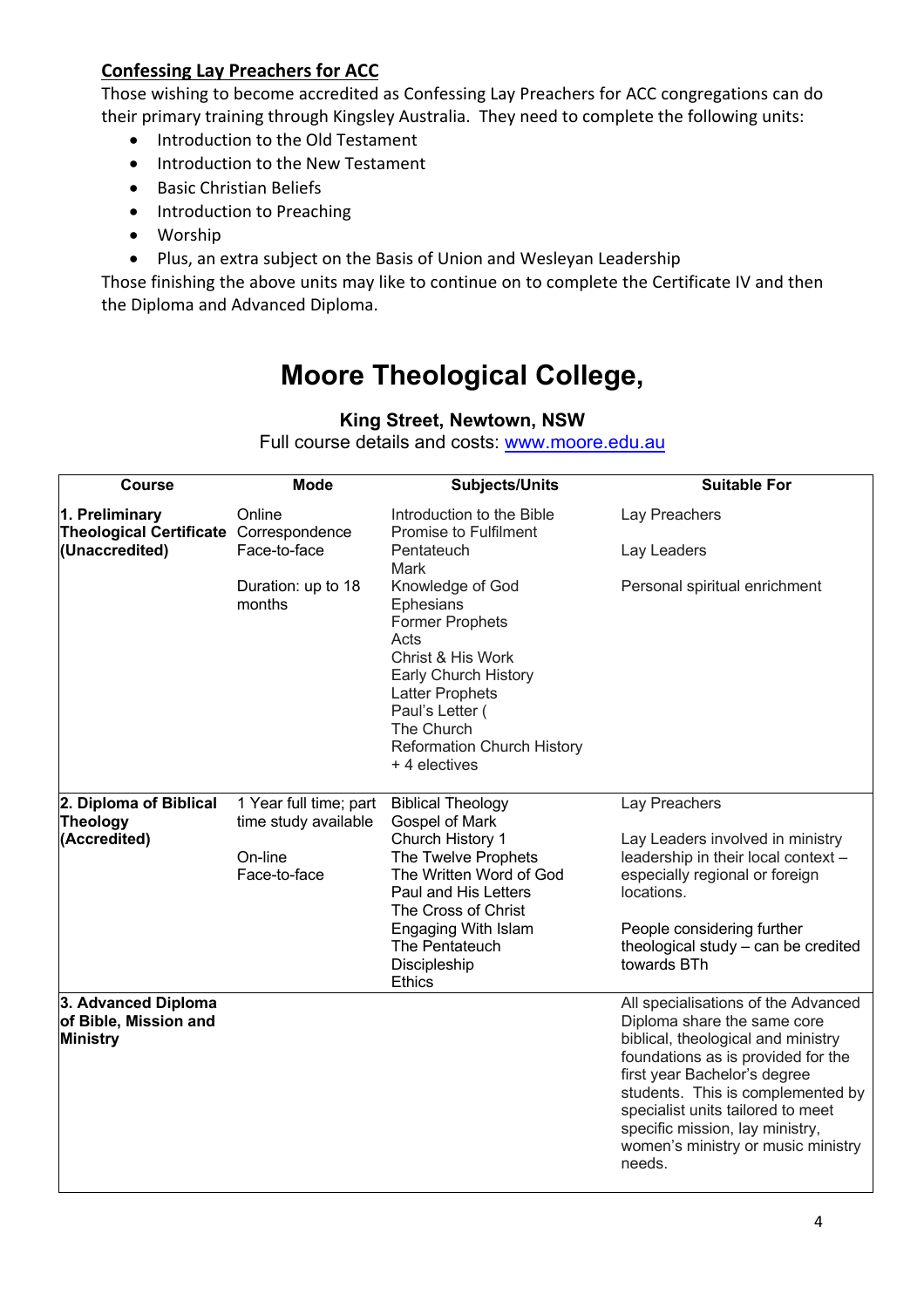#### **Confessing Lay Preachers for ACC**

Those wishing to become accredited as Confessing Lay Preachers for ACC congregations can do their primary training through Kingsley Australia. They need to complete the following units:

- Introduction to the Old Testament
- Introduction to the New Testament
- Basic Christian Beliefs
- Introduction to Preaching
- Worship
- Plus, an extra subject on the Basis of Union and Wesleyan Leadership

Those finishing the above units may like to continue on to complete the Certificate IV and then the Diploma and Advanced Diploma.

# **Moore Theological College,**

#### **King Street, Newtown, NSW**

Full course details and costs: www.moore.edu.au

| <b>Course</b>                                                              | <b>Mode</b>                                                               | <b>Subjects/Units</b>                                                                                                                                                                                                                     | <b>Suitable For</b>                                                                                                                                                                                                                                                                                                                         |
|----------------------------------------------------------------------------|---------------------------------------------------------------------------|-------------------------------------------------------------------------------------------------------------------------------------------------------------------------------------------------------------------------------------------|---------------------------------------------------------------------------------------------------------------------------------------------------------------------------------------------------------------------------------------------------------------------------------------------------------------------------------------------|
| 1. Preliminary<br>Theological Certificate Correspondence<br>(Unaccredited) | Online<br>Face-to-face                                                    | Introduction to the Bible<br>Promise to Fulfilment<br>Pentateuch<br>Mark                                                                                                                                                                  | Lay Preachers<br>Lay Leaders                                                                                                                                                                                                                                                                                                                |
|                                                                            | Duration: up to 18<br>months                                              | Knowledge of God<br>Ephesians<br><b>Former Prophets</b><br>Acts<br>Christ & His Work<br>Early Church History<br><b>Latter Prophets</b><br>Paul's Letter (<br>The Church<br><b>Reformation Church History</b><br>+4 electives              | Personal spiritual enrichment                                                                                                                                                                                                                                                                                                               |
| 2. Diploma of Biblical<br><b>Theology</b><br>(Accredited)                  | 1 Year full time; part<br>time study available<br>On-line<br>Face-to-face | <b>Biblical Theology</b><br>Gospel of Mark<br>Church History 1<br>The Twelve Prophets<br>The Written Word of God<br>Paul and His Letters<br>The Cross of Christ<br>Engaging With Islam<br>The Pentateuch<br>Discipleship<br><b>Ethics</b> | Lay Preachers<br>Lay Leaders involved in ministry<br>leadership in their local context -<br>especially regional or foreign<br>locations.<br>People considering further<br>theological study - can be credited<br>towards BTh                                                                                                                |
| 3. Advanced Diploma<br>of Bible, Mission and<br><b>Ministry</b>            |                                                                           |                                                                                                                                                                                                                                           | All specialisations of the Advanced<br>Diploma share the same core<br>biblical, theological and ministry<br>foundations as is provided for the<br>first year Bachelor's degree<br>students. This is complemented by<br>specialist units tailored to meet<br>specific mission, lay ministry,<br>women's ministry or music ministry<br>needs. |